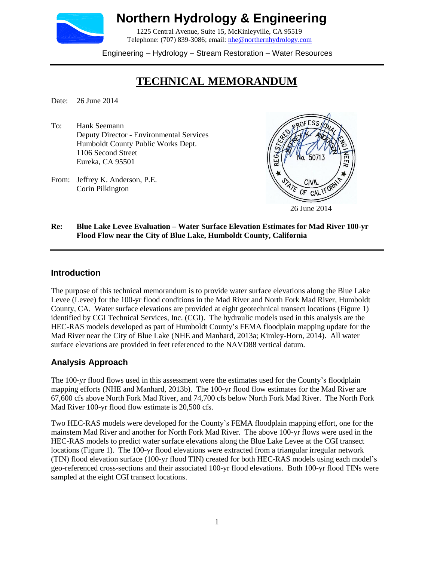

# **Northern Hydrology & Engineering**

1225 Central Avenue, Suite 15, McKinleyville, CA 95519 Telephone: (707) 839-3086; email: [nhe@northernhydrology.com](mailto:nhe@northernhydrology.com)

Engineering – Hydrology – Stream Restoration – Water Resources

# **TECHNICAL MEMORANDUM**

Date: 26 June 2014

- To: Hank Seemann Deputy Director - Environmental Services Humboldt County Public Works Dept. 1106 Second Street Eureka, CA 95501
- From: Jeffrey K. Anderson, P.E. Corin Pilkington



#### **Re: Blue Lake Levee Evaluation – Water Surface Elevation Estimates for Mad River 100-yr Flood Flow near the City of Blue Lake, Humboldt County, California**

#### **Introduction**

The purpose of this technical memorandum is to provide water surface elevations along the Blue Lake Levee (Levee) for the 100-yr flood conditions in the Mad River and North Fork Mad River, Humboldt County, CA. Water surface elevations are provided at eight geotechnical transect locations (Figure 1) identified by CGI Technical Services, Inc. (CGI). The hydraulic models used in this analysis are the HEC-RAS models developed as part of Humboldt County's FEMA floodplain mapping update for the Mad River near the City of Blue Lake (NHE and Manhard, 2013a; Kimley-Horn, 2014). All water surface elevations are provided in feet referenced to the NAVD88 vertical datum.

### **Analysis Approach**

The 100-yr flood flows used in this assessment were the estimates used for the County's floodplain mapping efforts (NHE and Manhard, 2013b). The 100-yr flood flow estimates for the Mad River are 67,600 cfs above North Fork Mad River, and 74,700 cfs below North Fork Mad River. The North Fork Mad River 100-yr flood flow estimate is 20,500 cfs.

Two HEC-RAS models were developed for the County's FEMA floodplain mapping effort, one for the mainstem Mad River and another for North Fork Mad River. The above 100-yr flows were used in the HEC-RAS models to predict water surface elevations along the Blue Lake Levee at the CGI transect locations (Figure 1). The 100-yr flood elevations were extracted from a triangular irregular network (TIN) flood elevation surface (100-yr flood TIN) created for both HEC-RAS models using each model's geo-referenced cross-sections and their associated 100-yr flood elevations. Both 100-yr flood TINs were sampled at the eight CGI transect locations.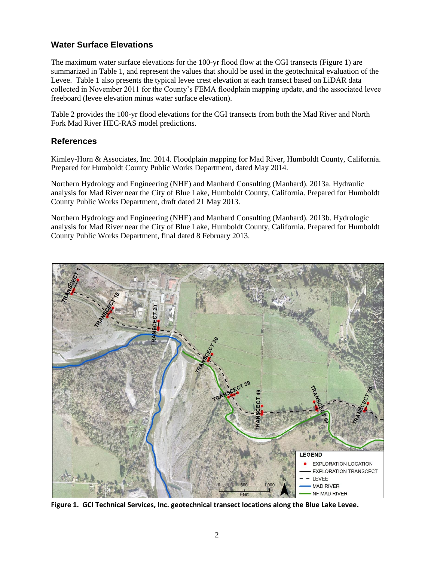## **Water Surface Elevations**

The maximum water surface elevations for the 100-yr flood flow at the CGI transects (Figure 1) are summarized in Table 1, and represent the values that should be used in the geotechnical evaluation of the Levee. Table 1 also presents the typical levee crest elevation at each transect based on LiDAR data collected in November 2011 for the County's FEMA floodplain mapping update, and the associated levee freeboard (levee elevation minus water surface elevation).

Table 2 provides the 100-yr flood elevations for the CGI transects from both the Mad River and North Fork Mad River HEC-RAS model predictions.

#### **References**

Kimley-Horn & Associates, Inc. 2014. Floodplain mapping for Mad River, Humboldt County, California. Prepared for Humboldt County Public Works Department, dated May 2014.

Northern Hydrology and Engineering (NHE) and Manhard Consulting (Manhard). 2013a. Hydraulic analysis for Mad River near the City of Blue Lake, Humboldt County, California. Prepared for Humboldt County Public Works Department, draft dated 21 May 2013.

Northern Hydrology and Engineering (NHE) and Manhard Consulting (Manhard). 2013b. Hydrologic analysis for Mad River near the City of Blue Lake, Humboldt County, California. Prepared for Humboldt County Public Works Department, final dated 8 February 2013.



**Figure 1. GCI Technical Services, Inc. geotechnical transect locations along the Blue Lake Levee.**